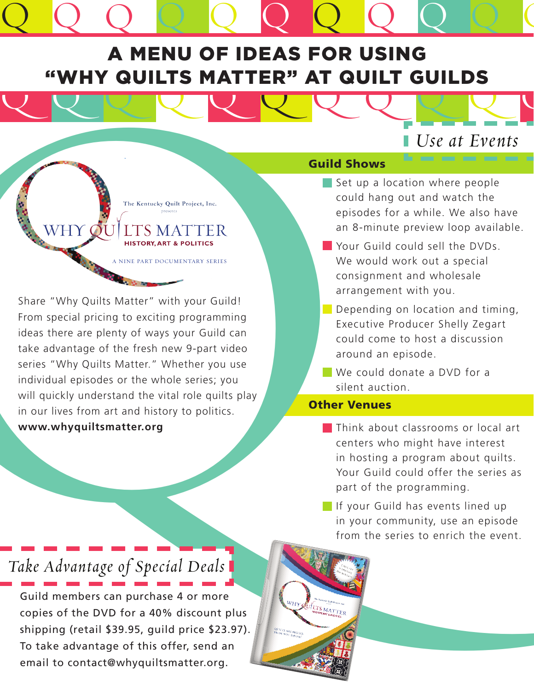# Q Q Q Q Q Q Q Q Q Q A MENU OF IDEAS FOR USING "Why Quilts Matter" at Quilt Guilds

Q Q Q Q Q Q Q Q Q Q Q

# *Use at Events*

Q

NINE PART DOCUMENTARY SERIES

Guild Share "Why Quilts Matter" with your Guild Share "Why Quilts Matter" with your Guild<br>
From special pricing to exciting programming<br>
Share "Why Quilts Matter" with your Guild<br>
From special pricing to exciting programmi From special pricing to exciting programming ideas there are plenty of ways your Guild can take advantage of the fresh new 9-part video series "Why Quilts Matter." Whether you use individual episodes or the whole series; you will quickly understand the vital role quilts play in our lives from art and history to politics. **www.whyquiltsmatter.org**

#### Guild Shows

- Set up a location where people could hang out and watch the episodes for a while. We also have an 8-minute preview loop available.
- Your Guild could sell the DVDs. We would work out a special consignment and wholesale arrangement with you.
- Depending on location and timing, Executive Producer Shelly Zegart could come to host a discussion around an episode.
- We could donate a DVD for a silent auction.

#### Other Venues

- **Think about classrooms or local art** centers who might have interest in hosting a program about quilts. Your Guild could offer the series as part of the programming.
- **If your Guild has events lined up** in your community, use an episode from the series to enrich the event.

## *Take Advantage of Special Deals*

Guild members can purchase 4 or more copies of the DVD for a 40% discount plus shipping (retail \$39.95, guild price \$23.97). To take advantage of this offer, send an email to contact@whyquiltsmatter.org.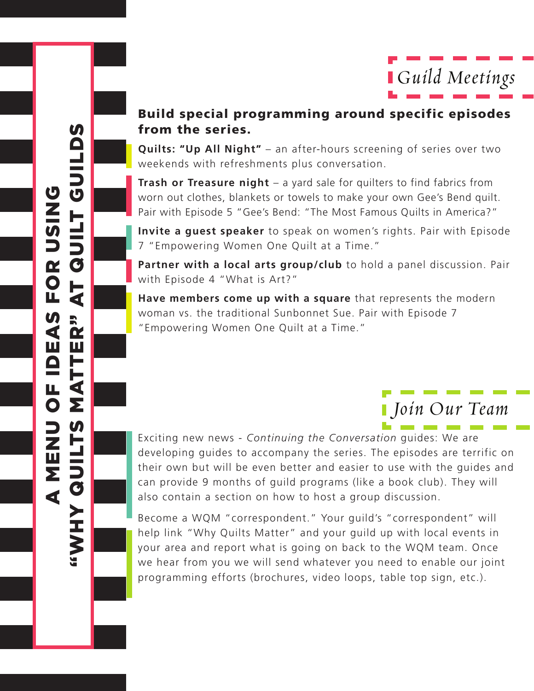

#### Build special programming around specific episodes from the series.

**Quilts: "Up All Night"** – an after-hours screening of series over two weekends with refreshments plus conversation.

**Trash or Treasure night** – a yard sale for quilters to find fabrics from worn out clothes, blankets or towels to make your own Gee's Bend quilt. Pair with Episode 5 "Gee's Bend: "The Most Famous Quilts in America?"

**Invite a guest speaker** to speak on women's rights. Pair with Episode 7 "Empowering Women One Quilt at a Time."

Partner with a local arts group/club to hold a panel discussion. Pair with Episode 4 "What is Art?"

**Have members come up with a square** that represents the modern woman vs. the traditional Sunbonnet Sue. Pair with Episode 7 "Empowering Women One Quilt at a Time."

## *Join Our Team*

Exciting new news - *Continuing the Conversation* guides: We are developing guides to accompany the series. The episodes are terrific on their own but will be even better and easier to use with the guides and can provide 9 months of guild programs (like a book club). They will also contain a section on how to host a group discussion.

Become a WQM "correspondent." Your guild's "correspondent" will help link "Why Quilts Matter" and your guild up with local events in your area and report what is going on back to the WQM team. Once we hear from you we will send whatever you need to enable our joint programming efforts (brochures, video loops, table top sign, etc.).

 $\boldsymbol{\eta}$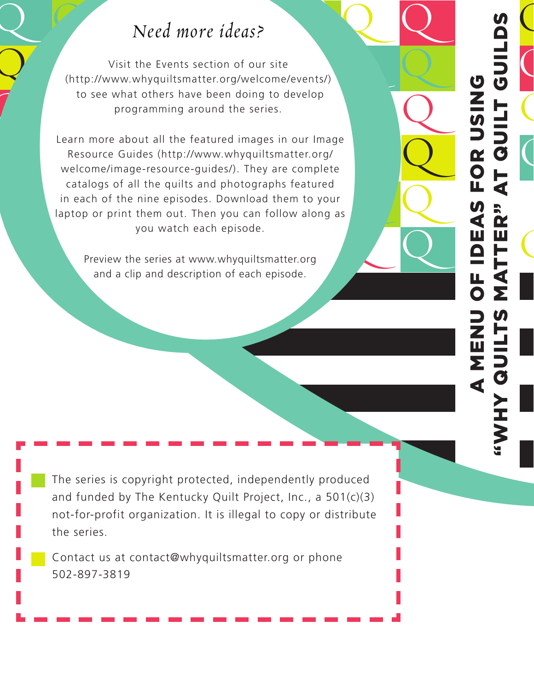# Q Q Q Q Q *Need more ideas?*

 $\overline{\mathcal{Q}}$ 

Q

Q

 $\overline{\phantom{0}}$ 

Q

Q

Q

Q

Q

Q

Q

NO S

 $\overline{\mathcal{C}}$ 

 $\overline{\mathbf{C}}$ 

 $\overline{\mathcal{C}}$ 

 $\overline{\zeta}$ 

OR<br>T QL

at Quilt

Guilds

as for using

**DE** 

atter"

A MENU OZWE

"Why Quilts M

Visit the Events section of our site<br>
(http://www.whyquiltsmatter.org/welcome/events/) to see what others have been doing to develop programming around the series. Visit the Events section of our site programming around the series.

Learn more about all the featured images in our Image<br>Resource Guides (http://www.whyquiltsmatter.org/<br>welcome/image-resource-guides/). They are complete quilts and photographs featu<br>episodes. Download them to<br>out. Then you can follow alo  $\begin{array}{|c|c|c|}\n\hline\n\end{array}$ **Q** Need more ideas?<br>
Visit the Events section of our size<br>
Unterstanding around the series are been doing to develop<br>
the series what others have been doing to develop<br>
the series what others have been doing to develop<br>
the c Learn more about all the featured images in our Image Resource Guides (http://www.whyquiltsmatter.org/ catalogs of all the quilts and photographs featured in each of the nine episodes. Download them to your laptop or print them out. Then you can follow along as you watch each episode.

you watch each episode.<br>Preview the series at www.whyquiltsmatter.org and a clip and description of each episode.

The series is copyright protected, independently produced and funded by The Kentucky Quilt Project, Inc., a 501(c)(3) not-for-profit organization. It is illegal to copy or distribute the series.

Contact us at contact@whyquiltsmatter.org or phone 502-897-3819